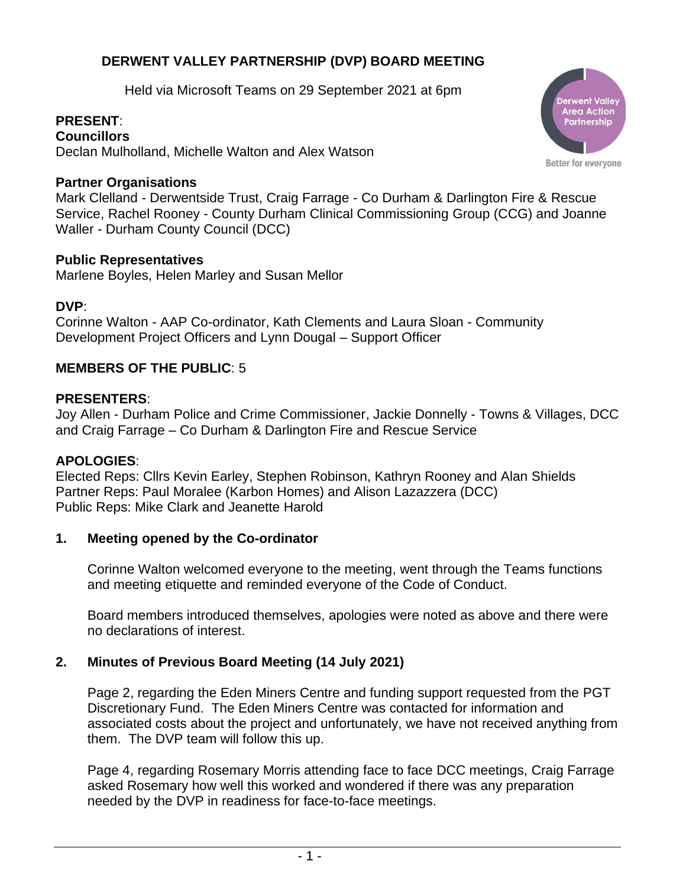# **DERWENT VALLEY PARTNERSHIP (DVP) BOARD MEETING**

Held via Microsoft Teams on 29 September 2021 at 6pm

# **PRESENT**:

**Councillors** Declan Mulholland, Michelle Walton and Alex Watson

### **Partner Organisations**

Mark Clelland - Derwentside Trust, Craig Farrage - Co Durham & Darlington Fire & Rescue Service, Rachel Rooney - County Durham Clinical Commissioning Group (CCG) and Joanne Waller - Durham County Council (DCC)

### **Public Representatives**

Marlene Boyles, Helen Marley and Susan Mellor

### **DVP**:

Corinne Walton - AAP Co-ordinator, Kath Clements and Laura Sloan - Community Development Project Officers and Lynn Dougal – Support Officer

## **MEMBERS OF THE PUBLIC**: 5

### **PRESENTERS**:

Joy Allen - Durham Police and Crime Commissioner, Jackie Donnelly - Towns & Villages, DCC and Craig Farrage – Co Durham & Darlington Fire and Rescue Service

#### **APOLOGIES**:

Elected Reps: Cllrs Kevin Earley, Stephen Robinson, Kathryn Rooney and Alan Shields Partner Reps: Paul Moralee (Karbon Homes) and Alison Lazazzera (DCC) Public Reps: Mike Clark and Jeanette Harold

#### **1. Meeting opened by the Co-ordinator**

Corinne Walton welcomed everyone to the meeting, went through the Teams functions and meeting etiquette and reminded everyone of the Code of Conduct.

Board members introduced themselves, apologies were noted as above and there were no declarations of interest.

## **2. Minutes of Previous Board Meeting (14 July 2021)**

Page 2, regarding the Eden Miners Centre and funding support requested from the PGT Discretionary Fund. The Eden Miners Centre was contacted for information and associated costs about the project and unfortunately, we have not received anything from them. The DVP team will follow this up.

Page 4, regarding Rosemary Morris attending face to face DCC meetings, Craig Farrage asked Rosemary how well this worked and wondered if there was any preparation needed by the DVP in readiness for face-to-face meetings.

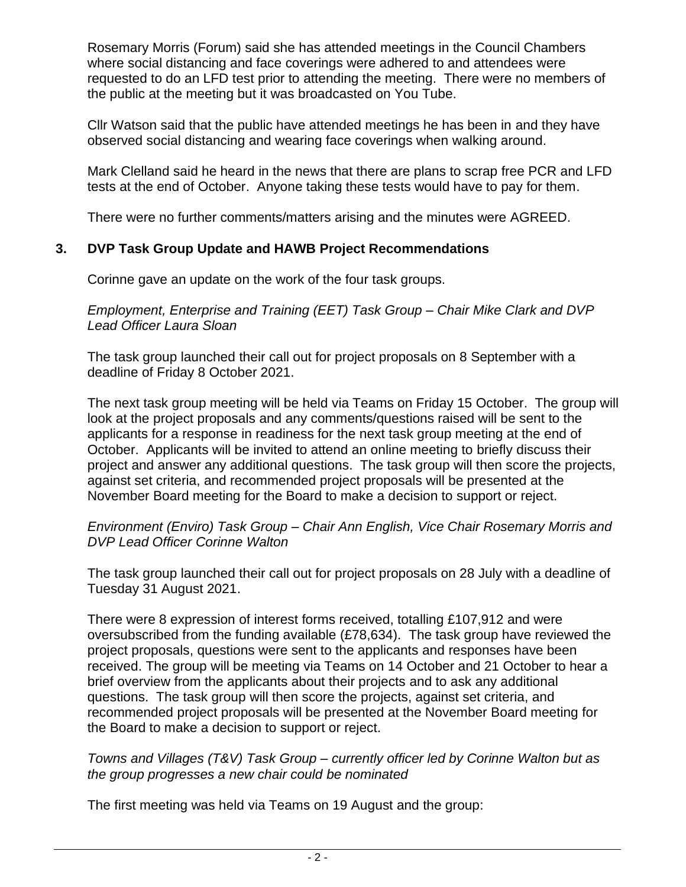Rosemary Morris (Forum) said she has attended meetings in the Council Chambers where social distancing and face coverings were adhered to and attendees were requested to do an LFD test prior to attending the meeting. There were no members of the public at the meeting but it was broadcasted on You Tube.

Cllr Watson said that the public have attended meetings he has been in and they have observed social distancing and wearing face coverings when walking around.

Mark Clelland said he heard in the news that there are plans to scrap free PCR and LFD tests at the end of October. Anyone taking these tests would have to pay for them.

There were no further comments/matters arising and the minutes were AGREED.

# **3. DVP Task Group Update and HAWB Project Recommendations**

Corinne gave an update on the work of the four task groups.

*Employment, Enterprise and Training (EET) Task Group – Chair Mike Clark and DVP Lead Officer Laura Sloan*

The task group launched their call out for project proposals on 8 September with a deadline of Friday 8 October 2021.

The next task group meeting will be held via Teams on Friday 15 October. The group will look at the project proposals and any comments/questions raised will be sent to the applicants for a response in readiness for the next task group meeting at the end of October. Applicants will be invited to attend an online meeting to briefly discuss their project and answer any additional questions. The task group will then score the projects, against set criteria, and recommended project proposals will be presented at the November Board meeting for the Board to make a decision to support or reject.

### *Environment (Enviro) Task Group – Chair Ann English, Vice Chair Rosemary Morris and DVP Lead Officer Corinne Walton*

The task group launched their call out for project proposals on 28 July with a deadline of Tuesday 31 August 2021.

There were 8 expression of interest forms received, totalling £107,912 and were oversubscribed from the funding available (£78,634). The task group have reviewed the project proposals, questions were sent to the applicants and responses have been received. The group will be meeting via Teams on 14 October and 21 October to hear a brief overview from the applicants about their projects and to ask any additional questions. The task group will then score the projects, against set criteria, and recommended project proposals will be presented at the November Board meeting for the Board to make a decision to support or reject.

### *Towns and Villages (T&V) Task Group – currently officer led by Corinne Walton but as the group progresses a new chair could be nominated*

The first meeting was held via Teams on 19 August and the group: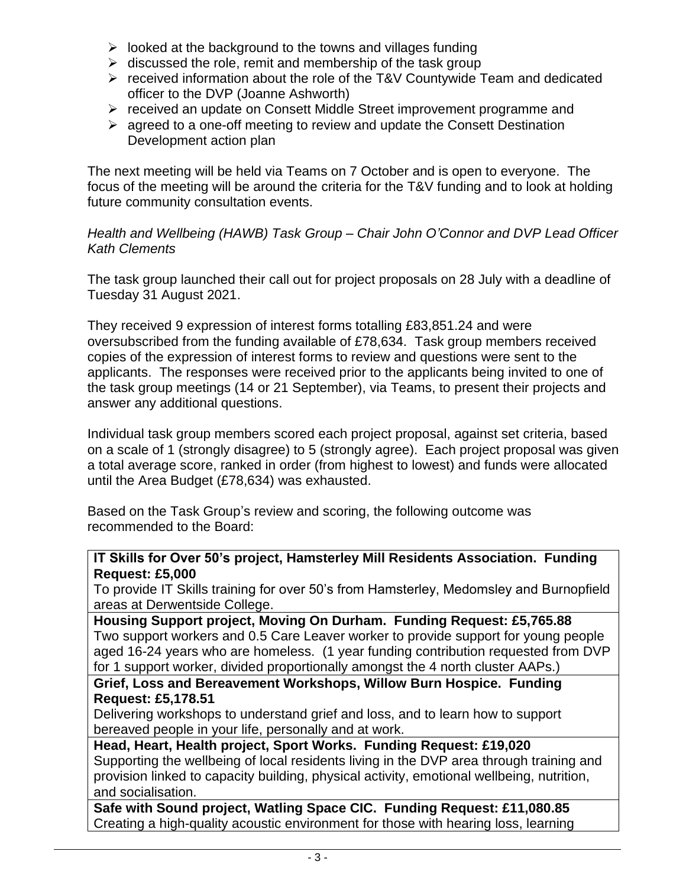- $\triangleright$  looked at the background to the towns and villages funding
- $\triangleright$  discussed the role, remit and membership of the task group
- ➢ received information about the role of the T&V Countywide Team and dedicated officer to the DVP (Joanne Ashworth)
- ➢ received an update on Consett Middle Street improvement programme and
- $\triangleright$  agreed to a one-off meeting to review and update the Consett Destination Development action plan

The next meeting will be held via Teams on 7 October and is open to everyone. The focus of the meeting will be around the criteria for the T&V funding and to look at holding future community consultation events.

*Health and Wellbeing (HAWB) Task Group – Chair John O'Connor and DVP Lead Officer Kath Clements*

The task group launched their call out for project proposals on 28 July with a deadline of Tuesday 31 August 2021.

They received 9 expression of interest forms totalling £83,851.24 and were oversubscribed from the funding available of £78,634. Task group members received copies of the expression of interest forms to review and questions were sent to the applicants. The responses were received prior to the applicants being invited to one of the task group meetings (14 or 21 September), via Teams, to present their projects and answer any additional questions.

Individual task group members scored each project proposal, against set criteria, based on a scale of 1 (strongly disagree) to 5 (strongly agree). Each project proposal was given a total average score, ranked in order (from highest to lowest) and funds were allocated until the Area Budget (£78,634) was exhausted.

Based on the Task Group's review and scoring, the following outcome was recommended to the Board:

**IT Skills for Over 50's project, Hamsterley Mill Residents Association. Funding Request: £5,000**

To provide IT Skills training for over 50's from Hamsterley, Medomsley and Burnopfield areas at Derwentside College.

**Housing Support project, Moving On Durham. Funding Request: £5,765.88** Two support workers and 0.5 Care Leaver worker to provide support for young people aged 16-24 years who are homeless. (1 year funding contribution requested from DVP for 1 support worker, divided proportionally amongst the 4 north cluster AAPs.)

### **Grief, Loss and Bereavement Workshops, Willow Burn Hospice. Funding Request: £5,178.51**

Delivering workshops to understand grief and loss, and to learn how to support bereaved people in your life, personally and at work.

**Head, Heart, Health project, Sport Works. Funding Request: £19,020** Supporting the wellbeing of local residents living in the DVP area through training and provision linked to capacity building, physical activity, emotional wellbeing, nutrition, and socialisation.

**Safe with Sound project, Watling Space CIC. Funding Request: £11,080.85** Creating a high-quality acoustic environment for those with hearing loss, learning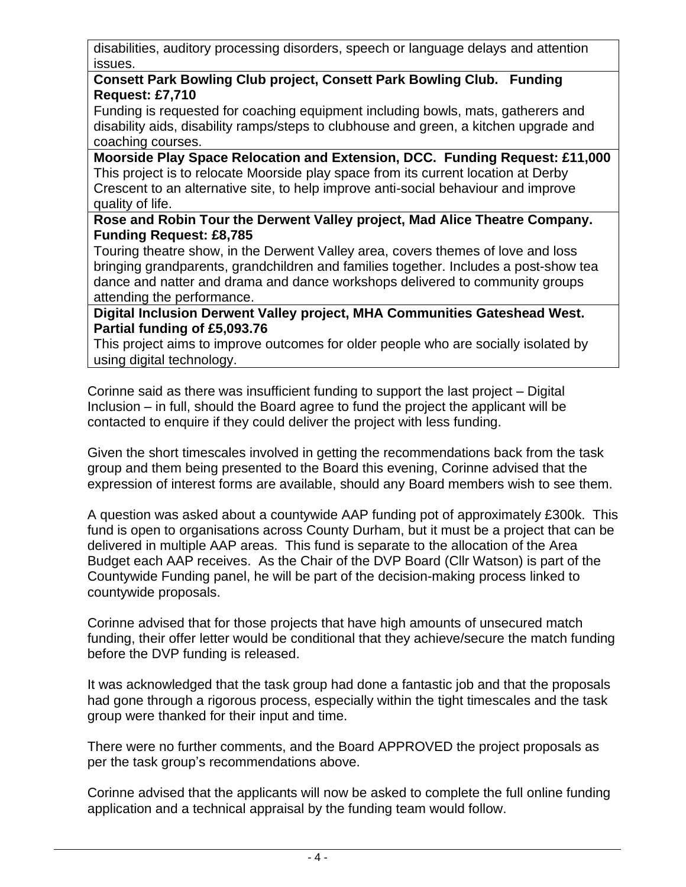disabilities, auditory processing disorders, speech or language delays and attention issues.

### **Consett Park Bowling Club project, Consett Park Bowling Club. Funding Request: £7,710**

Funding is requested for coaching equipment including bowls, mats, gatherers and disability aids, disability ramps/steps to clubhouse and green, a kitchen upgrade and coaching courses.

**Moorside Play Space Relocation and Extension, DCC. Funding Request: £11,000** This project is to relocate Moorside play space from its current location at Derby Crescent to an alternative site, to help improve anti-social behaviour and improve quality of life.

### **Rose and Robin Tour the Derwent Valley project, Mad Alice Theatre Company. Funding Request: £8,785**

Touring theatre show, in the Derwent Valley area, covers themes of love and loss bringing grandparents, grandchildren and families together. Includes a post-show tea dance and natter and drama and dance workshops delivered to community groups attending the performance.

## **Digital Inclusion Derwent Valley project, MHA Communities Gateshead West. Partial funding of £5,093.76**

This project aims to improve outcomes for older people who are socially isolated by using digital technology.

Corinne said as there was insufficient funding to support the last project – Digital Inclusion – in full, should the Board agree to fund the project the applicant will be contacted to enquire if they could deliver the project with less funding.

Given the short timescales involved in getting the recommendations back from the task group and them being presented to the Board this evening, Corinne advised that the expression of interest forms are available, should any Board members wish to see them.

A question was asked about a countywide AAP funding pot of approximately £300k. This fund is open to organisations across County Durham, but it must be a project that can be delivered in multiple AAP areas. This fund is separate to the allocation of the Area Budget each AAP receives. As the Chair of the DVP Board (Cllr Watson) is part of the Countywide Funding panel, he will be part of the decision-making process linked to countywide proposals.

Corinne advised that for those projects that have high amounts of unsecured match funding, their offer letter would be conditional that they achieve/secure the match funding before the DVP funding is released.

It was acknowledged that the task group had done a fantastic job and that the proposals had gone through a rigorous process, especially within the tight timescales and the task group were thanked for their input and time.

There were no further comments, and the Board APPROVED the project proposals as per the task group's recommendations above.

Corinne advised that the applicants will now be asked to complete the full online funding application and a technical appraisal by the funding team would follow.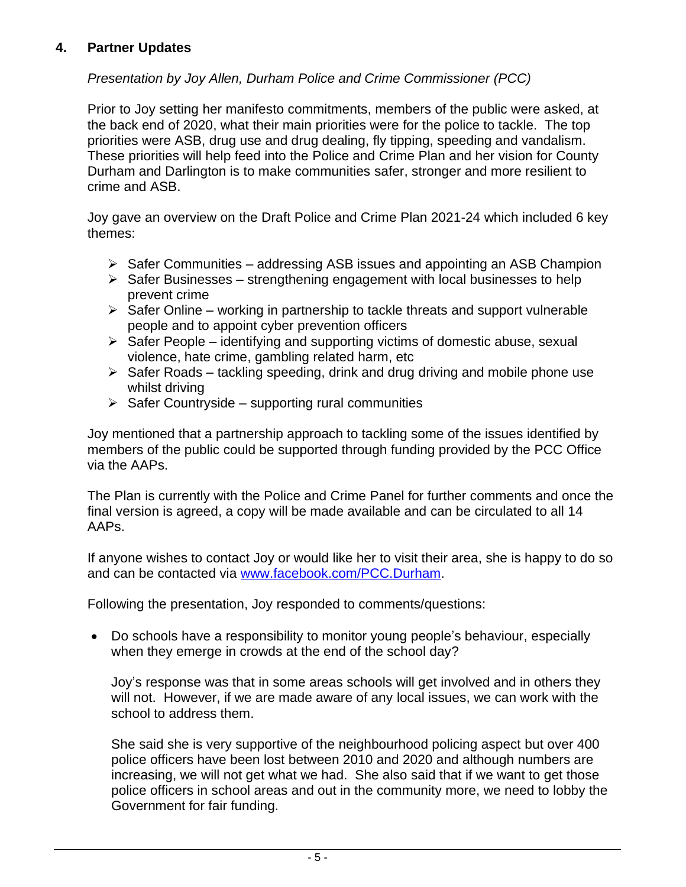# **4. Partner Updates**

# *Presentation by Joy Allen, Durham Police and Crime Commissioner (PCC)*

Prior to Joy setting her manifesto commitments, members of the public were asked, at the back end of 2020, what their main priorities were for the police to tackle. The top priorities were ASB, drug use and drug dealing, fly tipping, speeding and vandalism. These priorities will help feed into the Police and Crime Plan and her vision for County Durham and Darlington is to make communities safer, stronger and more resilient to crime and ASB.

Joy gave an overview on the Draft Police and Crime Plan 2021-24 which included 6 key themes:

- $\triangleright$  Safer Communities addressing ASB issues and appointing an ASB Champion
- $\triangleright$  Safer Businesses strengthening engagement with local businesses to help prevent crime
- $\triangleright$  Safer Online working in partnership to tackle threats and support vulnerable people and to appoint cyber prevention officers
- $\triangleright$  Safer People identifying and supporting victims of domestic abuse, sexual violence, hate crime, gambling related harm, etc
- $\triangleright$  Safer Roads tackling speeding, drink and drug driving and mobile phone use whilst driving
- $\triangleright$  Safer Countryside supporting rural communities

Joy mentioned that a partnership approach to tackling some of the issues identified by members of the public could be supported through funding provided by the PCC Office via the AAPs.

The Plan is currently with the Police and Crime Panel for further comments and once the final version is agreed, a copy will be made available and can be circulated to all 14 AAPs.

If anyone wishes to contact Joy or would like her to visit their area, she is happy to do so and can be contacted via [www.facebook.com/PCC.Durham.](http://www.facebook.com/PCC.Durham)

Following the presentation, Joy responded to comments/questions:

• Do schools have a responsibility to monitor young people's behaviour, especially when they emerge in crowds at the end of the school day?

Joy's response was that in some areas schools will get involved and in others they will not. However, if we are made aware of any local issues, we can work with the school to address them.

She said she is very supportive of the neighbourhood policing aspect but over 400 police officers have been lost between 2010 and 2020 and although numbers are increasing, we will not get what we had. She also said that if we want to get those police officers in school areas and out in the community more, we need to lobby the Government for fair funding.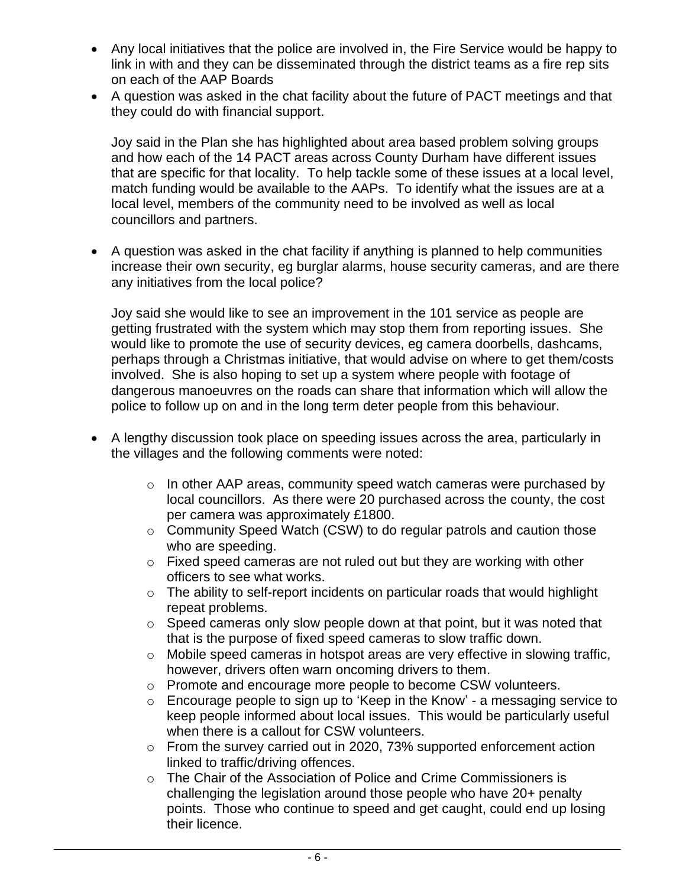- Any local initiatives that the police are involved in, the Fire Service would be happy to link in with and they can be disseminated through the district teams as a fire rep sits on each of the AAP Boards
- A question was asked in the chat facility about the future of PACT meetings and that they could do with financial support.

Joy said in the Plan she has highlighted about area based problem solving groups and how each of the 14 PACT areas across County Durham have different issues that are specific for that locality. To help tackle some of these issues at a local level, match funding would be available to the AAPs. To identify what the issues are at a local level, members of the community need to be involved as well as local councillors and partners.

• A question was asked in the chat facility if anything is planned to help communities increase their own security, eg burglar alarms, house security cameras, and are there any initiatives from the local police?

Joy said she would like to see an improvement in the 101 service as people are getting frustrated with the system which may stop them from reporting issues. She would like to promote the use of security devices, eg camera doorbells, dashcams, perhaps through a Christmas initiative, that would advise on where to get them/costs involved. She is also hoping to set up a system where people with footage of dangerous manoeuvres on the roads can share that information which will allow the police to follow up on and in the long term deter people from this behaviour.

- A lengthy discussion took place on speeding issues across the area, particularly in the villages and the following comments were noted:
	- o In other AAP areas, community speed watch cameras were purchased by local councillors. As there were 20 purchased across the county, the cost per camera was approximately £1800.
	- o Community Speed Watch (CSW) to do regular patrols and caution those who are speeding.
	- o Fixed speed cameras are not ruled out but they are working with other officers to see what works.
	- $\circ$  The ability to self-report incidents on particular roads that would highlight repeat problems.
	- o Speed cameras only slow people down at that point, but it was noted that that is the purpose of fixed speed cameras to slow traffic down.
	- o Mobile speed cameras in hotspot areas are very effective in slowing traffic, however, drivers often warn oncoming drivers to them.
	- o Promote and encourage more people to become CSW volunteers.
	- o Encourage people to sign up to 'Keep in the Know' a messaging service to keep people informed about local issues. This would be particularly useful when there is a callout for CSW volunteers.
	- o From the survey carried out in 2020, 73% supported enforcement action linked to traffic/driving offences.
	- $\circ$  The Chair of the Association of Police and Crime Commissioners is challenging the legislation around those people who have 20+ penalty points. Those who continue to speed and get caught, could end up losing their licence.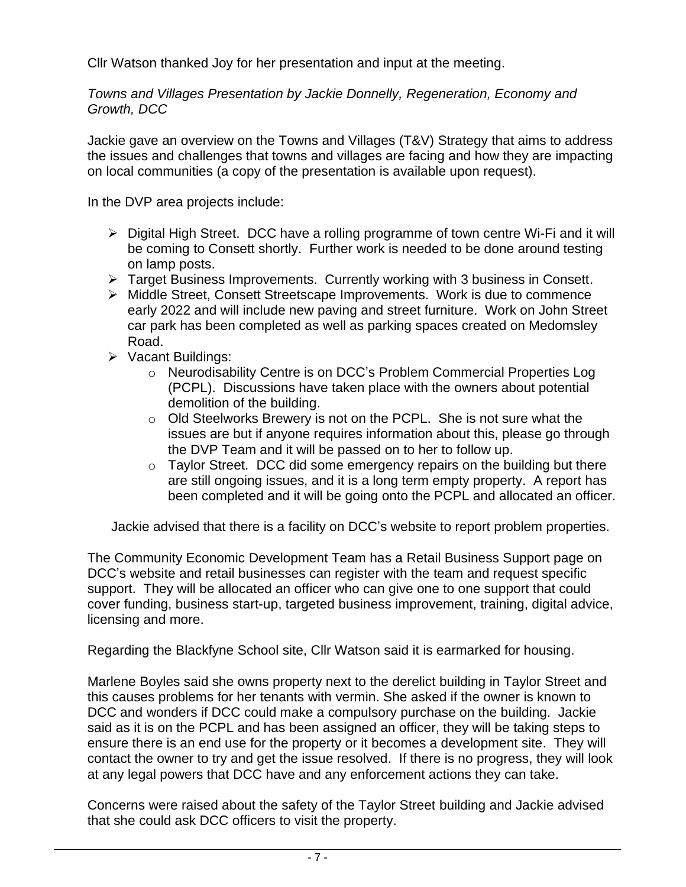Cllr Watson thanked Joy for her presentation and input at the meeting.

*Towns and Villages Presentation by Jackie Donnelly, Regeneration, Economy and Growth, DCC*

Jackie gave an overview on the Towns and Villages (T&V) Strategy that aims to address the issues and challenges that towns and villages are facing and how they are impacting on local communities (a copy of the presentation is available upon request).

In the DVP area projects include:

- ➢ Digital High Street. DCC have a rolling programme of town centre Wi-Fi and it will be coming to Consett shortly. Further work is needed to be done around testing on lamp posts.
- ➢ Target Business Improvements. Currently working with 3 business in Consett.
- ➢ Middle Street, Consett Streetscape Improvements. Work is due to commence early 2022 and will include new paving and street furniture. Work on John Street car park has been completed as well as parking spaces created on Medomsley Road.
- ➢ Vacant Buildings:
	- o Neurodisability Centre is on DCC's Problem Commercial Properties Log (PCPL). Discussions have taken place with the owners about potential demolition of the building.
	- $\circ$  Old Steelworks Brewery is not on the PCPL. She is not sure what the issues are but if anyone requires information about this, please go through the DVP Team and it will be passed on to her to follow up.
	- $\circ$  Taylor Street. DCC did some emergency repairs on the building but there are still ongoing issues, and it is a long term empty property. A report has been completed and it will be going onto the PCPL and allocated an officer.

Jackie advised that there is a facility on DCC's website to report problem properties.

The Community Economic Development Team has a Retail Business Support page on DCC's website and retail businesses can register with the team and request specific support. They will be allocated an officer who can give one to one support that could cover funding, business start-up, targeted business improvement, training, digital advice, licensing and more.

Regarding the Blackfyne School site, Cllr Watson said it is earmarked for housing.

Marlene Boyles said she owns property next to the derelict building in Taylor Street and this causes problems for her tenants with vermin. She asked if the owner is known to DCC and wonders if DCC could make a compulsory purchase on the building. Jackie said as it is on the PCPL and has been assigned an officer, they will be taking steps to ensure there is an end use for the property or it becomes a development site. They will contact the owner to try and get the issue resolved. If there is no progress, they will look at any legal powers that DCC have and any enforcement actions they can take.

Concerns were raised about the safety of the Taylor Street building and Jackie advised that she could ask DCC officers to visit the property.